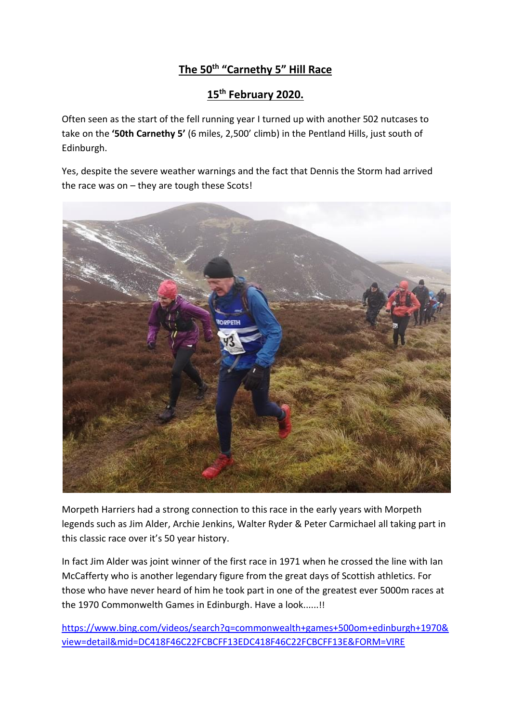## **The 50th "Carnethy 5" Hill Race**

## **15th February 2020.**

Often seen as the start of the fell running year I turned up with another 502 nutcases to take on the **'50th Carnethy 5'** (6 miles, 2,500' climb) in the Pentland Hills, just south of Edinburgh.

Yes, despite the severe weather warnings and the fact that Dennis the Storm had arrived the race was on – they are tough these Scots!



Morpeth Harriers had a strong connection to this race in the early years with Morpeth legends such as Jim Alder, Archie Jenkins, Walter Ryder & Peter Carmichael all taking part in this classic race over it's 50 year history.

In fact Jim Alder was joint winner of the first race in 1971 when he crossed the line with Ian McCafferty who is another legendary figure from the great days of Scottish athletics. For those who have never heard of him he took part in one of the greatest ever 5000m races at the 1970 Commonwelth Games in Edinburgh. Have a look......!!

[https://www.bing.com/videos/search?q=commonwealth+games+500om+edinburgh+1970&](https://www.bing.com/videos/search?q=commonwealth+games+500om+edinburgh+1970&view=detail&mid=DC418F46C22FCBCFF13EDC418F46C22FCBCFF13E&FORM=VIRE) [view=detail&mid=DC418F46C22FCBCFF13EDC418F46C22FCBCFF13E&FORM=VIRE](https://www.bing.com/videos/search?q=commonwealth+games+500om+edinburgh+1970&view=detail&mid=DC418F46C22FCBCFF13EDC418F46C22FCBCFF13E&FORM=VIRE)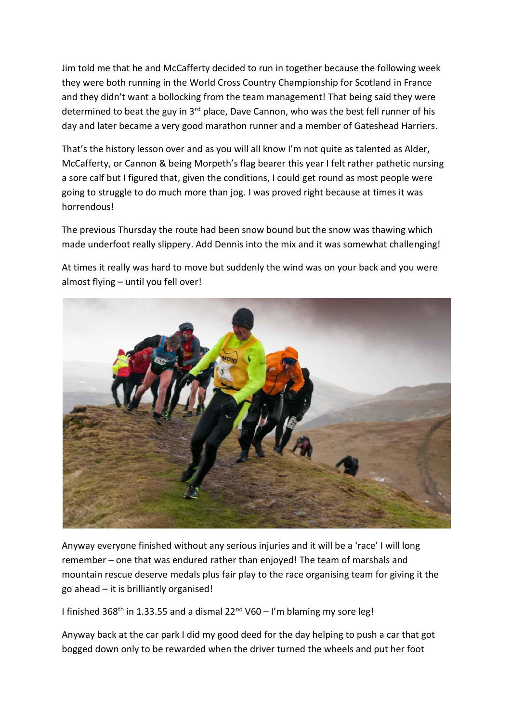Jim told me that he and McCafferty decided to run in together because the following week they were both running in the World Cross Country Championship for Scotland in France and they didn't want a bollocking from the team management! That being said they were determined to beat the guy in 3<sup>rd</sup> place, Dave Cannon, who was the best fell runner of his day and later became a very good marathon runner and a member of Gateshead Harriers.

That's the history lesson over and as you will all know I'm not quite as talented as Alder, McCafferty, or Cannon & being Morpeth's flag bearer this year I felt rather pathetic nursing a sore calf but I figured that, given the conditions, I could get round as most people were going to struggle to do much more than jog. I was proved right because at times it was horrendous!

The previous Thursday the route had been snow bound but the snow was thawing which made underfoot really slippery. Add Dennis into the mix and it was somewhat challenging!



At times it really was hard to move but suddenly the wind was on your back and you were almost flying – until you fell over!

Anyway everyone finished without any serious injuries and it will be a 'race' I will long remember – one that was endured rather than enjoyed! The team of marshals and mountain rescue deserve medals plus fair play to the race organising team for giving it the go ahead – it is brilliantly organised!

I finished 368<sup>th</sup> in 1.33.55 and a dismal  $22<sup>nd</sup>$  V60 – I'm blaming my sore leg!

Anyway back at the car park I did my good deed for the day helping to push a car that got bogged down only to be rewarded when the driver turned the wheels and put her foot